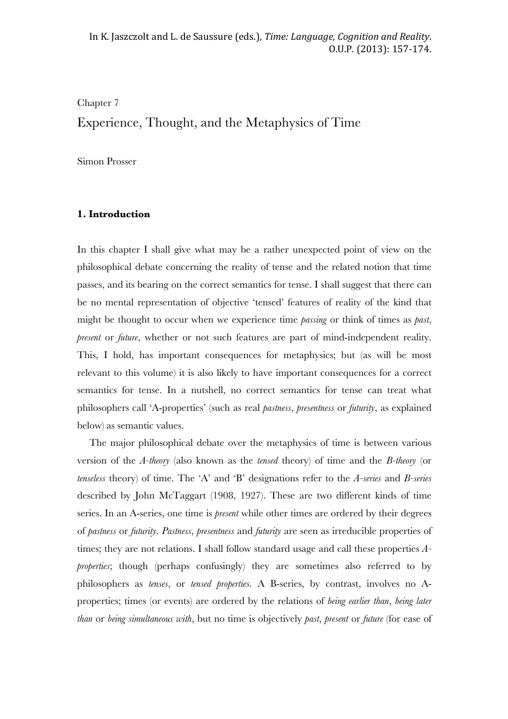# Chapter 7 Experience, Thought, and the Metaphysics of Time

Simon Prosser

## **1. Introduction**

In this chapter I shall give what may be a rather unexpected point of view on the philosophical debate concerning the reality of tense and the related notion that time passes, and its bearing on the correct semantics for tense. I shall suggest that there can be no mental representation of objective 'tensed' features of reality of the kind that might be thought to occur when we experience time *passing* or think of times as *past*, *present* or *future*, whether or not such features are part of mind-independent reality. This, I hold, has important consequences for metaphysics; but (as will be most relevant to this volume) it is also likely to have important consequences for a correct semantics for tense. In a nutshell, no correct semantics for tense can treat what philosophers call 'A-properties' (such as real *pastness*, *presentness* or *futurity*, as explained below) as semantic values.

The major philosophical debate over the metaphysics of time is between various version of the *A-theory* (also known as the *tensed* theory) of time and the *B-theory* (or *tenseless* theory) of time. The 'A' and 'B' designations refer to the *A-series* and *B-series* described by John McTaggart (1908, 1927). These are two different kinds of time series. In an A-series, one time is *present* while other times are ordered by their degrees of *pastness* or *futurity*. *Pastness*, *presentness* and *futurity* are seen as irreducible properties of times; they are not relations. I shall follow standard usage and call these properties *Aproperties*; though (perhaps confusingly) they are sometimes also referred to by philosophers as *tenses*, or *tensed properties*. A B-series, by contrast, involves no Aproperties; times (or events) are ordered by the relations of *being earlier than*, *being later than* or *being simultaneous with*, but no time is objectively *past*, *present* or *future* (for ease of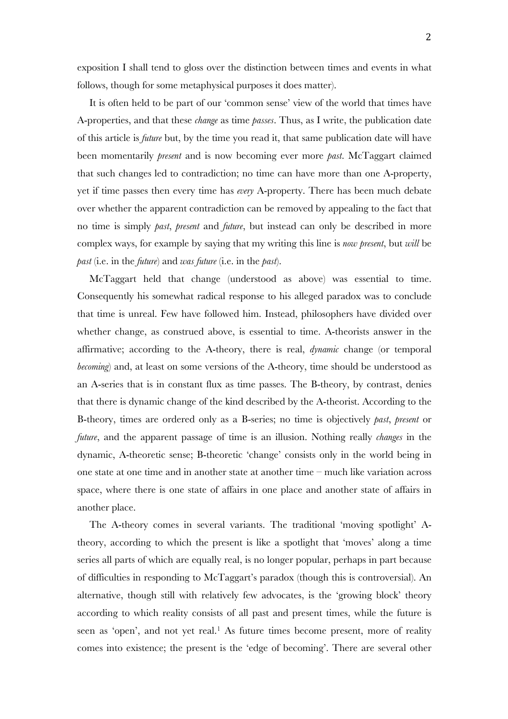exposition I shall tend to gloss over the distinction between times and events in what follows, though for some metaphysical purposes it does matter).

It is often held to be part of our 'common sense' view of the world that times have A-properties, and that these *change* as time *passes*. Thus, as I write, the publication date of this article is *future* but, by the time you read it, that same publication date will have been momentarily *present* and is now becoming ever more *past*. McTaggart claimed that such changes led to contradiction; no time can have more than one A-property, yet if time passes then every time has *every* A-property. There has been much debate over whether the apparent contradiction can be removed by appealing to the fact that no time is simply *past*, *present* and *future*, but instead can only be described in more complex ways, for example by saying that my writing this line is *now present*, but *will* be *past* (i.e. in the *future*) and *was future* (i.e. in the *past*).

McTaggart held that change (understood as above) was essential to time. Consequently his somewhat radical response to his alleged paradox was to conclude that time is unreal. Few have followed him. Instead, philosophers have divided over whether change, as construed above, is essential to time. A-theorists answer in the affirmative; according to the A-theory, there is real, *dynamic* change (or temporal *becoming*) and, at least on some versions of the A-theory, time should be understood as an A-series that is in constant flux as time passes. The B-theory, by contrast, denies that there is dynamic change of the kind described by the A-theorist. According to the B-theory, times are ordered only as a B-series; no time is objectively *past*, *present* or *future*, and the apparent passage of time is an illusion. Nothing really *changes* in the dynamic, A-theoretic sense; B-theoretic 'change' consists only in the world being in one state at one time and in another state at another time – much like variation across space, where there is one state of affairs in one place and another state of affairs in another place.

The A-theory comes in several variants. The traditional 'moving spotlight' Atheory, according to which the present is like a spotlight that 'moves' along a time series all parts of which are equally real, is no longer popular, perhaps in part because of difficulties in responding to McTaggart's paradox (though this is controversial). An alternative, though still with relatively few advocates, is the 'growing block' theory according to which reality consists of all past and present times, while the future is seen as 'open', and not yet real.<sup>1</sup> As future times become present, more of reality comes into existence; the present is the 'edge of becoming'. There are several other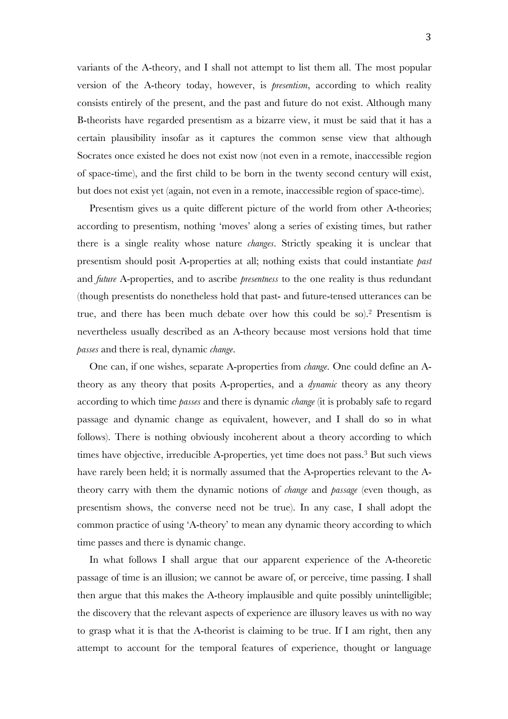variants of the A-theory, and I shall not attempt to list them all. The most popular version of the A-theory today, however, is *presentism*, according to which reality consists entirely of the present, and the past and future do not exist. Although many B-theorists have regarded presentism as a bizarre view, it must be said that it has a certain plausibility insofar as it captures the common sense view that although Socrates once existed he does not exist now (not even in a remote, inaccessible region of space-time), and the first child to be born in the twenty second century will exist, but does not exist yet (again, not even in a remote, inaccessible region of space-time).

Presentism gives us a quite different picture of the world from other A-theories; according to presentism, nothing 'moves' along a series of existing times, but rather there is a single reality whose nature *changes*. Strictly speaking it is unclear that presentism should posit A-properties at all; nothing exists that could instantiate *past* and *future* A-properties, and to ascribe *presentness* to the one reality is thus redundant (though presentists do nonetheless hold that past- and future-tensed utterances can be true, and there has been much debate over how this could be so).2 Presentism is nevertheless usually described as an A-theory because most versions hold that time *passes* and there is real, dynamic *change*.

One can, if one wishes, separate A-properties from *change*. One could define an Atheory as any theory that posits A-properties, and a *dynamic* theory as any theory according to which time *passes* and there is dynamic *change* (it is probably safe to regard passage and dynamic change as equivalent, however, and I shall do so in what follows). There is nothing obviously incoherent about a theory according to which times have objective, irreducible A-properties, yet time does not pass.<sup>3</sup> But such views have rarely been held; it is normally assumed that the A-properties relevant to the Atheory carry with them the dynamic notions of *change* and *passage* (even though, as presentism shows, the converse need not be true). In any case, I shall adopt the common practice of using 'A-theory' to mean any dynamic theory according to which time passes and there is dynamic change.

In what follows I shall argue that our apparent experience of the A-theoretic passage of time is an illusion; we cannot be aware of, or perceive, time passing. I shall then argue that this makes the A-theory implausible and quite possibly unintelligible; the discovery that the relevant aspects of experience are illusory leaves us with no way to grasp what it is that the A-theorist is claiming to be true. If I am right, then any attempt to account for the temporal features of experience, thought or language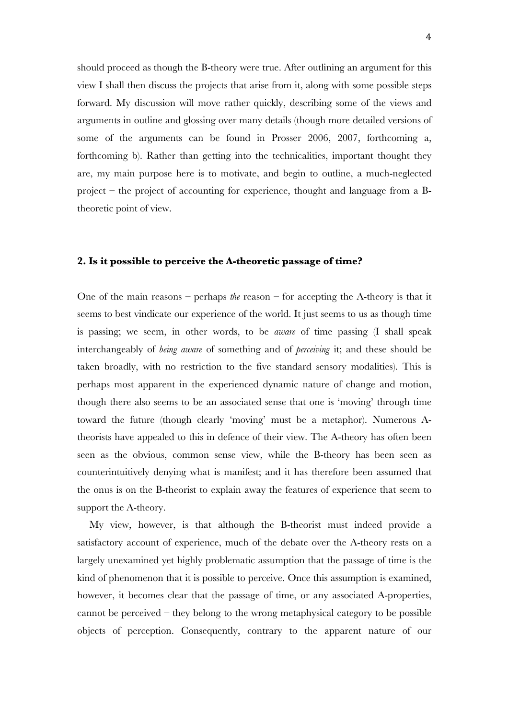should proceed as though the B-theory were true. After outlining an argument for this view I shall then discuss the projects that arise from it, along with some possible steps forward. My discussion will move rather quickly, describing some of the views and arguments in outline and glossing over many details (though more detailed versions of some of the arguments can be found in Prosser 2006, 2007, forthcoming a, forthcoming b). Rather than getting into the technicalities, important thought they are, my main purpose here is to motivate, and begin to outline, a much-neglected project – the project of accounting for experience, thought and language from a Btheoretic point of view.

### **2. Is it possible to perceive the A-theoretic passage of time?**

One of the main reasons – perhaps *the* reason – for accepting the A-theory is that it seems to best vindicate our experience of the world. It just seems to us as though time is passing; we seem, in other words, to be *aware* of time passing (I shall speak interchangeably of *being aware* of something and of *perceiving* it; and these should be taken broadly, with no restriction to the five standard sensory modalities). This is perhaps most apparent in the experienced dynamic nature of change and motion, though there also seems to be an associated sense that one is 'moving' through time toward the future (though clearly 'moving' must be a metaphor). Numerous Atheorists have appealed to this in defence of their view. The A-theory has often been seen as the obvious, common sense view, while the B-theory has been seen as counterintuitively denying what is manifest; and it has therefore been assumed that the onus is on the B-theorist to explain away the features of experience that seem to support the A-theory.

My view, however, is that although the B-theorist must indeed provide a satisfactory account of experience, much of the debate over the A-theory rests on a largely unexamined yet highly problematic assumption that the passage of time is the kind of phenomenon that it is possible to perceive. Once this assumption is examined, however, it becomes clear that the passage of time, or any associated A-properties, cannot be perceived – they belong to the wrong metaphysical category to be possible objects of perception. Consequently, contrary to the apparent nature of our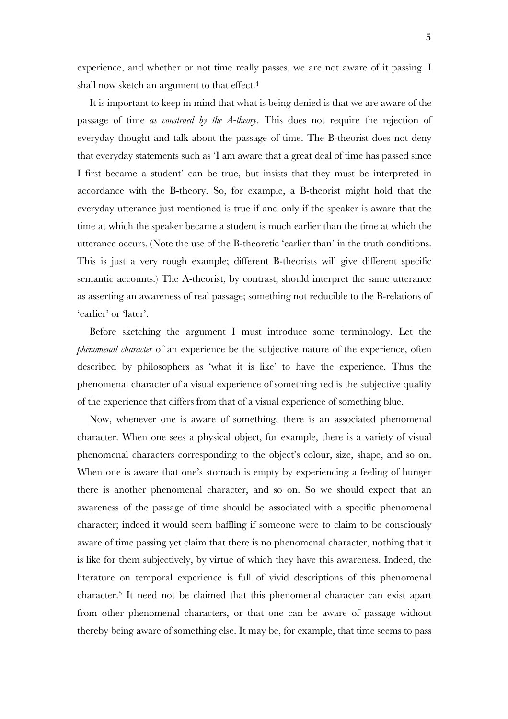experience, and whether or not time really passes, we are not aware of it passing. I shall now sketch an argument to that effect.<sup>4</sup>

It is important to keep in mind that what is being denied is that we are aware of the passage of time *as construed by the A-theory*. This does not require the rejection of everyday thought and talk about the passage of time. The B-theorist does not deny that everyday statements such as 'I am aware that a great deal of time has passed since I first became a student' can be true, but insists that they must be interpreted in accordance with the B-theory. So, for example, a B-theorist might hold that the everyday utterance just mentioned is true if and only if the speaker is aware that the time at which the speaker became a student is much earlier than the time at which the utterance occurs. (Note the use of the B-theoretic 'earlier than' in the truth conditions. This is just a very rough example; different B-theorists will give different specific semantic accounts.) The A-theorist, by contrast, should interpret the same utterance as asserting an awareness of real passage; something not reducible to the B-relations of 'earlier' or 'later'.

Before sketching the argument I must introduce some terminology. Let the *phenomenal character* of an experience be the subjective nature of the experience, often described by philosophers as 'what it is like' to have the experience. Thus the phenomenal character of a visual experience of something red is the subjective quality of the experience that differs from that of a visual experience of something blue.

Now, whenever one is aware of something, there is an associated phenomenal character. When one sees a physical object, for example, there is a variety of visual phenomenal characters corresponding to the object's colour, size, shape, and so on. When one is aware that one's stomach is empty by experiencing a feeling of hunger there is another phenomenal character, and so on. So we should expect that an awareness of the passage of time should be associated with a specific phenomenal character; indeed it would seem baffling if someone were to claim to be consciously aware of time passing yet claim that there is no phenomenal character, nothing that it is like for them subjectively, by virtue of which they have this awareness. Indeed, the literature on temporal experience is full of vivid descriptions of this phenomenal character.5 It need not be claimed that this phenomenal character can exist apart from other phenomenal characters, or that one can be aware of passage without thereby being aware of something else. It may be, for example, that time seems to pass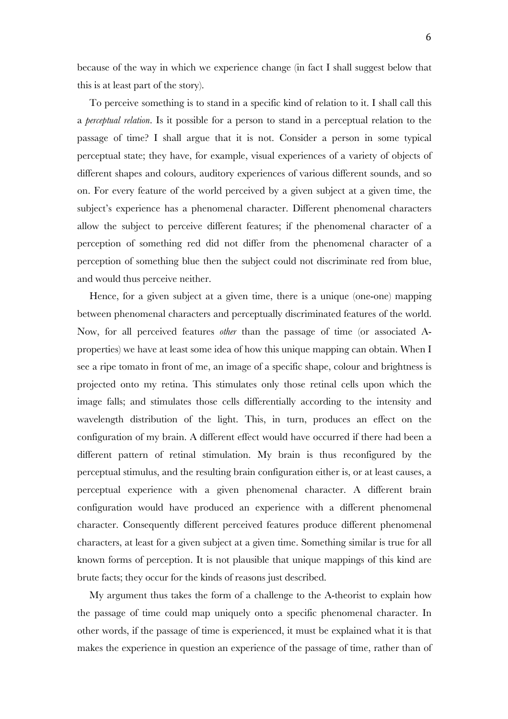because of the way in which we experience change (in fact I shall suggest below that this is at least part of the story).

To perceive something is to stand in a specific kind of relation to it. I shall call this a *perceptual relation*. Is it possible for a person to stand in a perceptual relation to the passage of time? I shall argue that it is not. Consider a person in some typical perceptual state; they have, for example, visual experiences of a variety of objects of different shapes and colours, auditory experiences of various different sounds, and so on. For every feature of the world perceived by a given subject at a given time, the subject's experience has a phenomenal character. Different phenomenal characters allow the subject to perceive different features; if the phenomenal character of a perception of something red did not differ from the phenomenal character of a perception of something blue then the subject could not discriminate red from blue, and would thus perceive neither.

Hence, for a given subject at a given time, there is a unique (one-one) mapping between phenomenal characters and perceptually discriminated features of the world. Now, for all perceived features *other* than the passage of time (or associated Aproperties) we have at least some idea of how this unique mapping can obtain. When I see a ripe tomato in front of me, an image of a specific shape, colour and brightness is projected onto my retina. This stimulates only those retinal cells upon which the image falls; and stimulates those cells differentially according to the intensity and wavelength distribution of the light. This, in turn, produces an effect on the configuration of my brain. A different effect would have occurred if there had been a different pattern of retinal stimulation. My brain is thus reconfigured by the perceptual stimulus, and the resulting brain configuration either is, or at least causes, a perceptual experience with a given phenomenal character. A different brain configuration would have produced an experience with a different phenomenal character. Consequently different perceived features produce different phenomenal characters, at least for a given subject at a given time. Something similar is true for all known forms of perception. It is not plausible that unique mappings of this kind are brute facts; they occur for the kinds of reasons just described.

My argument thus takes the form of a challenge to the A-theorist to explain how the passage of time could map uniquely onto a specific phenomenal character. In other words, if the passage of time is experienced, it must be explained what it is that makes the experience in question an experience of the passage of time, rather than of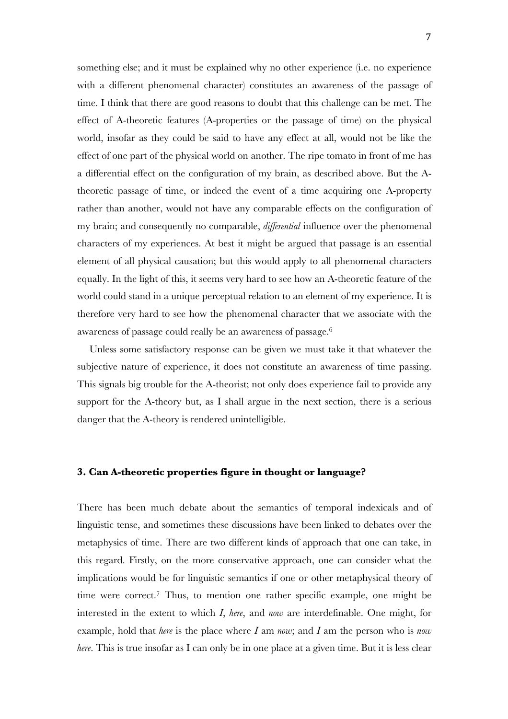something else; and it must be explained why no other experience (i.e. no experience with a different phenomenal character) constitutes an awareness of the passage of time. I think that there are good reasons to doubt that this challenge can be met. The effect of A-theoretic features (A-properties or the passage of time) on the physical world, insofar as they could be said to have any effect at all, would not be like the effect of one part of the physical world on another. The ripe tomato in front of me has a differential effect on the configuration of my brain, as described above. But the Atheoretic passage of time, or indeed the event of a time acquiring one A-property rather than another, would not have any comparable effects on the configuration of my brain; and consequently no comparable, *differential* influence over the phenomenal characters of my experiences. At best it might be argued that passage is an essential element of all physical causation; but this would apply to all phenomenal characters equally. In the light of this, it seems very hard to see how an A-theoretic feature of the world could stand in a unique perceptual relation to an element of my experience. It is therefore very hard to see how the phenomenal character that we associate with the awareness of passage could really be an awareness of passage.6

Unless some satisfactory response can be given we must take it that whatever the subjective nature of experience, it does not constitute an awareness of time passing. This signals big trouble for the A-theorist; not only does experience fail to provide any support for the A-theory but, as I shall argue in the next section, there is a serious danger that the A-theory is rendered unintelligible.

## **3. Can A-theoretic properties figure in thought or language?**

There has been much debate about the semantics of temporal indexicals and of linguistic tense, and sometimes these discussions have been linked to debates over the metaphysics of time. There are two different kinds of approach that one can take, in this regard. Firstly, on the more conservative approach, one can consider what the implications would be for linguistic semantics if one or other metaphysical theory of time were correct.7 Thus, to mention one rather specific example, one might be interested in the extent to which *I*, *here*, and *now* are interdefinable. One might, for example, hold that *here* is the place where *I* am *now*; and *I* am the person who is *now here*. This is true insofar as I can only be in one place at a given time. But it is less clear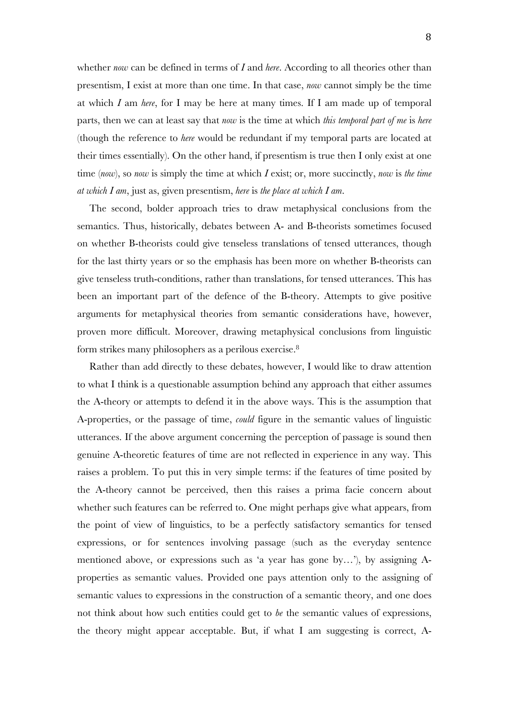whether *now* can be defined in terms of *I* and *here*. According to all theories other than presentism, I exist at more than one time. In that case, *now* cannot simply be the time at which *I* am *here*, for I may be here at many times. If I am made up of temporal parts, then we can at least say that *now* is the time at which *this temporal part of me* is *here* (though the reference to *here* would be redundant if my temporal parts are located at their times essentially). On the other hand, if presentism is true then I only exist at one time (*now*), so *now* is simply the time at which *I* exist; or, more succinctly, *now* is *the time at which I am*, just as, given presentism, *here* is *the place at which I am*.

The second, bolder approach tries to draw metaphysical conclusions from the semantics. Thus, historically, debates between A- and B-theorists sometimes focused on whether B-theorists could give tenseless translations of tensed utterances, though for the last thirty years or so the emphasis has been more on whether B-theorists can give tenseless truth-conditions, rather than translations, for tensed utterances. This has been an important part of the defence of the B-theory. Attempts to give positive arguments for metaphysical theories from semantic considerations have, however, proven more difficult. Moreover, drawing metaphysical conclusions from linguistic form strikes many philosophers as a perilous exercise.<sup>8</sup>

Rather than add directly to these debates, however, I would like to draw attention to what I think is a questionable assumption behind any approach that either assumes the A-theory or attempts to defend it in the above ways. This is the assumption that A-properties, or the passage of time, *could* figure in the semantic values of linguistic utterances. If the above argument concerning the perception of passage is sound then genuine A-theoretic features of time are not reflected in experience in any way. This raises a problem. To put this in very simple terms: if the features of time posited by the A-theory cannot be perceived, then this raises a prima facie concern about whether such features can be referred to. One might perhaps give what appears, from the point of view of linguistics, to be a perfectly satisfactory semantics for tensed expressions, or for sentences involving passage (such as the everyday sentence mentioned above, or expressions such as 'a year has gone by…'), by assigning Aproperties as semantic values. Provided one pays attention only to the assigning of semantic values to expressions in the construction of a semantic theory, and one does not think about how such entities could get to *be* the semantic values of expressions, the theory might appear acceptable. But, if what I am suggesting is correct, A-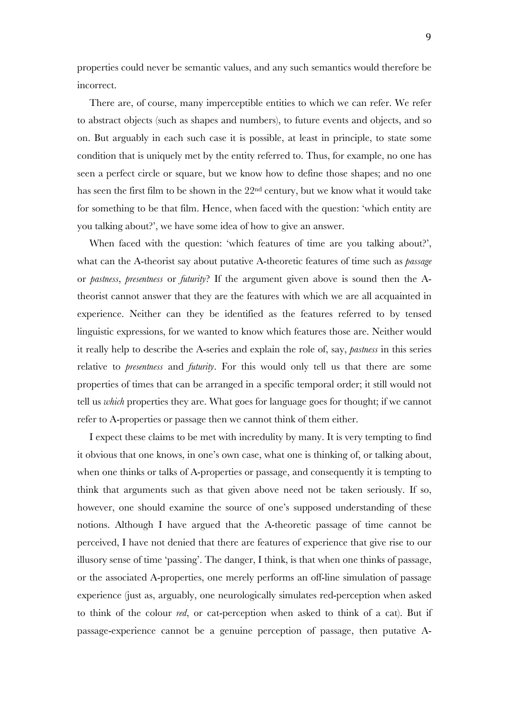properties could never be semantic values, and any such semantics would therefore be incorrect.

There are, of course, many imperceptible entities to which we can refer. We refer to abstract objects (such as shapes and numbers), to future events and objects, and so on. But arguably in each such case it is possible, at least in principle, to state some condition that is uniquely met by the entity referred to. Thus, for example, no one has seen a perfect circle or square, but we know how to define those shapes; and no one has seen the first film to be shown in the 22nd century, but we know what it would take for something to be that film. Hence, when faced with the question: 'which entity are you talking about?', we have some idea of how to give an answer.

When faced with the question: 'which features of time are you talking about?', what can the A-theorist say about putative A-theoretic features of time such as *passage* or *pastness*, *presentness* or *futurity*? If the argument given above is sound then the Atheorist cannot answer that they are the features with which we are all acquainted in experience. Neither can they be identified as the features referred to by tensed linguistic expressions, for we wanted to know which features those are. Neither would it really help to describe the A-series and explain the role of, say, *pastness* in this series relative to *presentness* and *futurity*. For this would only tell us that there are some properties of times that can be arranged in a specific temporal order; it still would not tell us *which* properties they are. What goes for language goes for thought; if we cannot refer to A-properties or passage then we cannot think of them either.

I expect these claims to be met with incredulity by many. It is very tempting to find it obvious that one knows, in one's own case, what one is thinking of, or talking about, when one thinks or talks of A-properties or passage, and consequently it is tempting to think that arguments such as that given above need not be taken seriously. If so, however, one should examine the source of one's supposed understanding of these notions. Although I have argued that the A-theoretic passage of time cannot be perceived, I have not denied that there are features of experience that give rise to our illusory sense of time 'passing'. The danger, I think, is that when one thinks of passage, or the associated A-properties, one merely performs an off-line simulation of passage experience (just as, arguably, one neurologically simulates red-perception when asked to think of the colour *red*, or cat-perception when asked to think of a cat). But if passage-experience cannot be a genuine perception of passage, then putative A-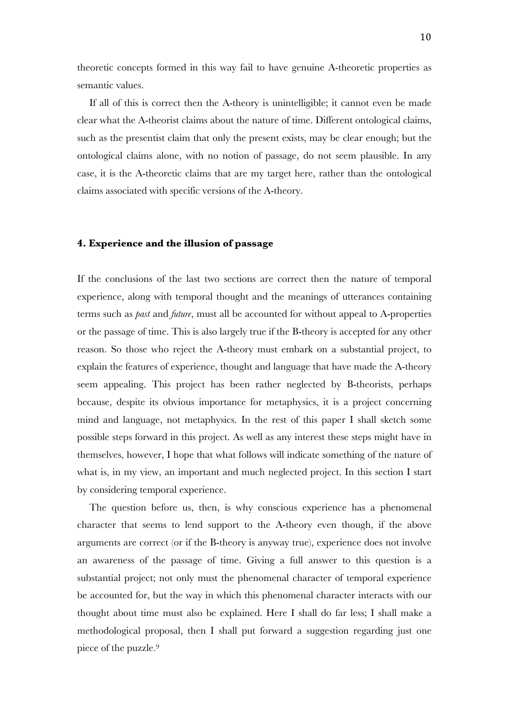theoretic concepts formed in this way fail to have genuine A-theoretic properties as semantic values.

If all of this is correct then the A-theory is unintelligible; it cannot even be made clear what the A-theorist claims about the nature of time. Different ontological claims, such as the presentist claim that only the present exists, may be clear enough; but the ontological claims alone, with no notion of passage, do not seem plausible. In any case, it is the A-theoretic claims that are my target here, rather than the ontological claims associated with specific versions of the A-theory.

#### **4. Experience and the illusion of passage**

If the conclusions of the last two sections are correct then the nature of temporal experience, along with temporal thought and the meanings of utterances containing terms such as *past* and *future*, must all be accounted for without appeal to A-properties or the passage of time. This is also largely true if the B-theory is accepted for any other reason. So those who reject the A-theory must embark on a substantial project, to explain the features of experience, thought and language that have made the A-theory seem appealing. This project has been rather neglected by B-theorists, perhaps because, despite its obvious importance for metaphysics, it is a project concerning mind and language, not metaphysics. In the rest of this paper I shall sketch some possible steps forward in this project. As well as any interest these steps might have in themselves, however, I hope that what follows will indicate something of the nature of what is, in my view, an important and much neglected project. In this section I start by considering temporal experience.

The question before us, then, is why conscious experience has a phenomenal character that seems to lend support to the A-theory even though, if the above arguments are correct (or if the B-theory is anyway true), experience does not involve an awareness of the passage of time. Giving a full answer to this question is a substantial project; not only must the phenomenal character of temporal experience be accounted for, but the way in which this phenomenal character interacts with our thought about time must also be explained. Here I shall do far less; I shall make a methodological proposal, then I shall put forward a suggestion regarding just one piece of the puzzle.9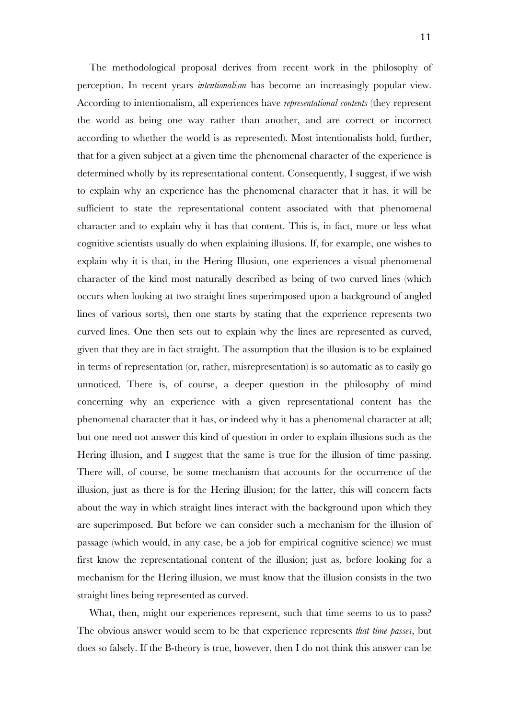The methodological proposal derives from recent work in the philosophy of perception. In recent years *intentionalism* has become an increasingly popular view. According to intentionalism, all experiences have *representational contents* (they represent the world as being one way rather than another, and are correct or incorrect according to whether the world is as represented). Most intentionalists hold, further, that for a given subject at a given time the phenomenal character of the experience is determined wholly by its representational content. Consequently, I suggest, if we wish to explain why an experience has the phenomenal character that it has, it will be sufficient to state the representational content associated with that phenomenal character and to explain why it has that content. This is, in fact, more or less what cognitive scientists usually do when explaining illusions. If, for example, one wishes to explain why it is that, in the Hering Illusion, one experiences a visual phenomenal character of the kind most naturally described as being of two curved lines (which occurs when looking at two straight lines superimposed upon a background of angled lines of various sorts), then one starts by stating that the experience represents two curved lines. One then sets out to explain why the lines are represented as curved, given that they are in fact straight. The assumption that the illusion is to be explained in terms of representation (or, rather, misrepresentation) is so automatic as to easily go unnoticed. There is, of course, a deeper question in the philosophy of mind concerning why an experience with a given representational content has the phenomenal character that it has, or indeed why it has a phenomenal character at all; but one need not answer this kind of question in order to explain illusions such as the Hering illusion, and I suggest that the same is true for the illusion of time passing. There will, of course, be some mechanism that accounts for the occurrence of the illusion, just as there is for the Hering illusion; for the latter, this will concern facts about the way in which straight lines interact with the background upon which they are superimposed. But before we can consider such a mechanism for the illusion of passage (which would, in any case, be a job for empirical cognitive science) we must first know the representational content of the illusion; just as, before looking for a mechanism for the Hering illusion, we must know that the illusion consists in the two straight lines being represented as curved.

What, then, might our experiences represent, such that time seems to us to pass? The obvious answer would seem to be that experience represents *that time passes*, but does so falsely. If the B-theory is true, however, then I do not think this answer can be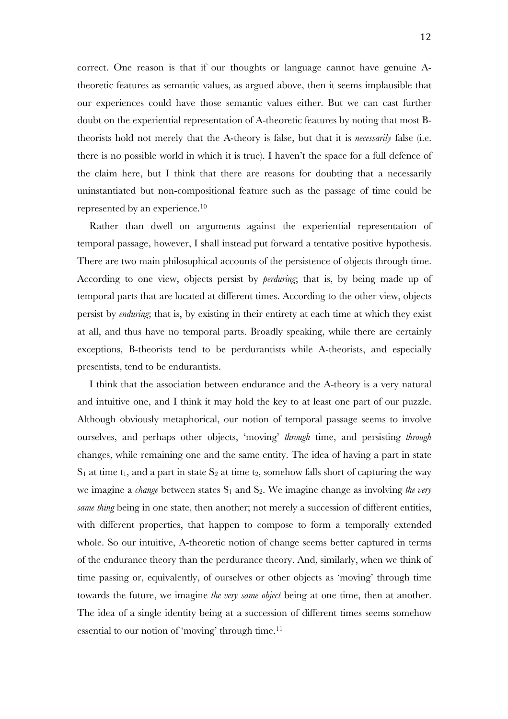correct. One reason is that if our thoughts or language cannot have genuine Atheoretic features as semantic values, as argued above, then it seems implausible that our experiences could have those semantic values either. But we can cast further doubt on the experiential representation of A-theoretic features by noting that most Btheorists hold not merely that the A-theory is false, but that it is *necessarily* false (i.e. there is no possible world in which it is true). I haven't the space for a full defence of the claim here, but I think that there are reasons for doubting that a necessarily uninstantiated but non-compositional feature such as the passage of time could be represented by an experience.10

Rather than dwell on arguments against the experiential representation of temporal passage, however, I shall instead put forward a tentative positive hypothesis. There are two main philosophical accounts of the persistence of objects through time. According to one view, objects persist by *perduring*; that is, by being made up of temporal parts that are located at different times. According to the other view, objects persist by *enduring*; that is, by existing in their entirety at each time at which they exist at all, and thus have no temporal parts. Broadly speaking, while there are certainly exceptions, B-theorists tend to be perdurantists while A-theorists, and especially presentists, tend to be endurantists.

I think that the association between endurance and the A-theory is a very natural and intuitive one, and I think it may hold the key to at least one part of our puzzle. Although obviously metaphorical, our notion of temporal passage seems to involve ourselves, and perhaps other objects, 'moving' *through* time, and persisting *through* changes, while remaining one and the same entity. The idea of having a part in state  $S_1$  at time t<sub>1</sub>, and a part in state  $S_2$  at time t<sub>2</sub>, somehow falls short of capturing the way we imagine a *change* between states S<sub>1</sub> and S<sub>2</sub>. We imagine change as involving *the very same thing* being in one state, then another; not merely a succession of different entities, with different properties, that happen to compose to form a temporally extended whole. So our intuitive, A-theoretic notion of change seems better captured in terms of the endurance theory than the perdurance theory. And, similarly, when we think of time passing or, equivalently, of ourselves or other objects as 'moving' through time towards the future, we imagine *the very same object* being at one time, then at another. The idea of a single identity being at a succession of different times seems somehow essential to our notion of 'moving' through time.<sup>11</sup>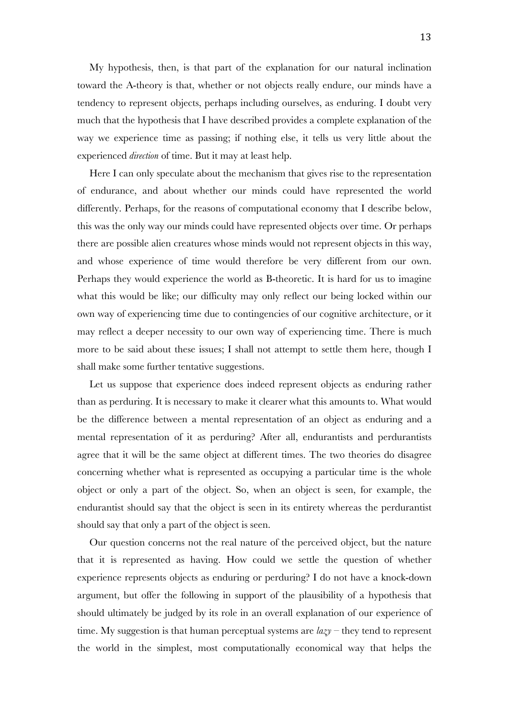My hypothesis, then, is that part of the explanation for our natural inclination toward the A-theory is that, whether or not objects really endure, our minds have a tendency to represent objects, perhaps including ourselves, as enduring. I doubt very much that the hypothesis that I have described provides a complete explanation of the way we experience time as passing; if nothing else, it tells us very little about the experienced *direction* of time. But it may at least help.

Here I can only speculate about the mechanism that gives rise to the representation of endurance, and about whether our minds could have represented the world differently. Perhaps, for the reasons of computational economy that I describe below, this was the only way our minds could have represented objects over time. Or perhaps there are possible alien creatures whose minds would not represent objects in this way, and whose experience of time would therefore be very different from our own. Perhaps they would experience the world as B-theoretic. It is hard for us to imagine what this would be like; our difficulty may only reflect our being locked within our own way of experiencing time due to contingencies of our cognitive architecture, or it may reflect a deeper necessity to our own way of experiencing time. There is much more to be said about these issues; I shall not attempt to settle them here, though I shall make some further tentative suggestions.

Let us suppose that experience does indeed represent objects as enduring rather than as perduring. It is necessary to make it clearer what this amounts to. What would be the difference between a mental representation of an object as enduring and a mental representation of it as perduring? After all, endurantists and perdurantists agree that it will be the same object at different times. The two theories do disagree concerning whether what is represented as occupying a particular time is the whole object or only a part of the object. So, when an object is seen, for example, the endurantist should say that the object is seen in its entirety whereas the perdurantist should say that only a part of the object is seen.

Our question concerns not the real nature of the perceived object, but the nature that it is represented as having. How could we settle the question of whether experience represents objects as enduring or perduring? I do not have a knock-down argument, but offer the following in support of the plausibility of a hypothesis that should ultimately be judged by its role in an overall explanation of our experience of time. My suggestion is that human perceptual systems are *lazy* – they tend to represent the world in the simplest, most computationally economical way that helps the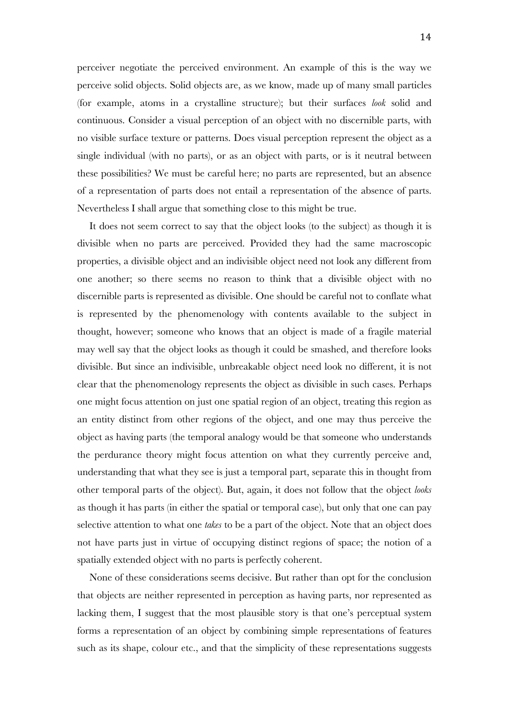perceiver negotiate the perceived environment. An example of this is the way we perceive solid objects. Solid objects are, as we know, made up of many small particles (for example, atoms in a crystalline structure); but their surfaces *look* solid and continuous. Consider a visual perception of an object with no discernible parts, with no visible surface texture or patterns. Does visual perception represent the object as a single individual (with no parts), or as an object with parts, or is it neutral between these possibilities? We must be careful here; no parts are represented, but an absence of a representation of parts does not entail a representation of the absence of parts. Nevertheless I shall argue that something close to this might be true.

It does not seem correct to say that the object looks (to the subject) as though it is divisible when no parts are perceived. Provided they had the same macroscopic properties, a divisible object and an indivisible object need not look any different from one another; so there seems no reason to think that a divisible object with no discernible parts is represented as divisible. One should be careful not to conflate what is represented by the phenomenology with contents available to the subject in thought, however; someone who knows that an object is made of a fragile material may well say that the object looks as though it could be smashed, and therefore looks divisible. But since an indivisible, unbreakable object need look no different, it is not clear that the phenomenology represents the object as divisible in such cases. Perhaps one might focus attention on just one spatial region of an object, treating this region as an entity distinct from other regions of the object, and one may thus perceive the object as having parts (the temporal analogy would be that someone who understands the perdurance theory might focus attention on what they currently perceive and, understanding that what they see is just a temporal part, separate this in thought from other temporal parts of the object). But, again, it does not follow that the object *looks* as though it has parts (in either the spatial or temporal case), but only that one can pay selective attention to what one *takes* to be a part of the object. Note that an object does not have parts just in virtue of occupying distinct regions of space; the notion of a spatially extended object with no parts is perfectly coherent.

None of these considerations seems decisive. But rather than opt for the conclusion that objects are neither represented in perception as having parts, nor represented as lacking them, I suggest that the most plausible story is that one's perceptual system forms a representation of an object by combining simple representations of features such as its shape, colour etc., and that the simplicity of these representations suggests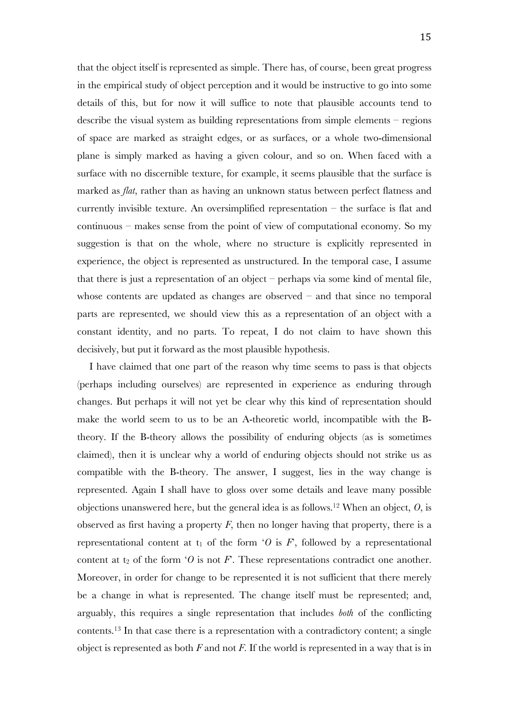that the object itself is represented as simple. There has, of course, been great progress in the empirical study of object perception and it would be instructive to go into some details of this, but for now it will suffice to note that plausible accounts tend to describe the visual system as building representations from simple elements – regions of space are marked as straight edges, or as surfaces, or a whole two-dimensional plane is simply marked as having a given colour, and so on. When faced with a surface with no discernible texture, for example, it seems plausible that the surface is marked as *flat*, rather than as having an unknown status between perfect flatness and currently invisible texture. An oversimplified representation – the surface is flat and continuous – makes sense from the point of view of computational economy. So my suggestion is that on the whole, where no structure is explicitly represented in experience, the object is represented as unstructured. In the temporal case, I assume that there is just a representation of an object – perhaps via some kind of mental file, whose contents are updated as changes are observed  $-$  and that since no temporal parts are represented, we should view this as a representation of an object with a constant identity, and no parts. To repeat, I do not claim to have shown this decisively, but put it forward as the most plausible hypothesis.

I have claimed that one part of the reason why time seems to pass is that objects (perhaps including ourselves) are represented in experience as enduring through changes. But perhaps it will not yet be clear why this kind of representation should make the world seem to us to be an A-theoretic world, incompatible with the Btheory. If the B-theory allows the possibility of enduring objects (as is sometimes claimed), then it is unclear why a world of enduring objects should not strike us as compatible with the B-theory. The answer, I suggest, lies in the way change is represented. Again I shall have to gloss over some details and leave many possible objections unanswered here, but the general idea is as follows.12 When an object, *O*, is observed as first having a property *F*, then no longer having that property, there is a representational content at  $t_1$  of the form '*O* is *F*', followed by a representational content at  $t_2$  of the form '*O* is not *F*'. These representations contradict one another. Moreover, in order for change to be represented it is not sufficient that there merely be a change in what is represented. The change itself must be represented; and, arguably, this requires a single representation that includes *both* of the conflicting contents.13 In that case there is a representation with a contradictory content; a single object is represented as both *F* and not *F*. If the world is represented in a way that is in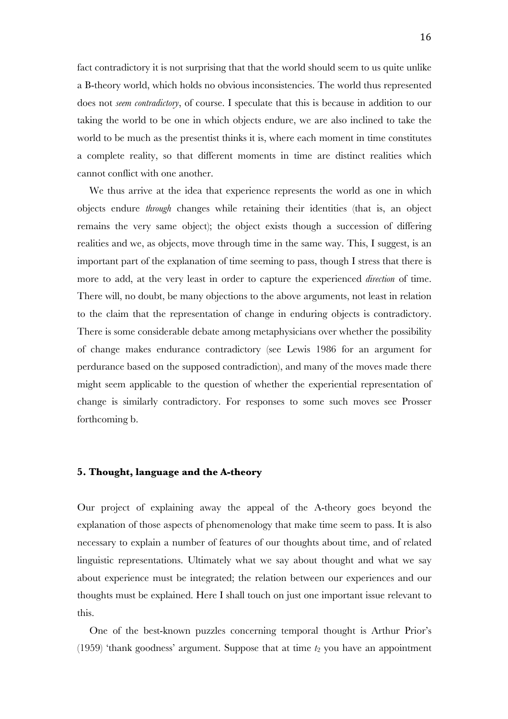fact contradictory it is not surprising that that the world should seem to us quite unlike a B-theory world, which holds no obvious inconsistencies. The world thus represented does not *seem contradictory*, of course. I speculate that this is because in addition to our taking the world to be one in which objects endure, we are also inclined to take the world to be much as the presentist thinks it is, where each moment in time constitutes a complete reality, so that different moments in time are distinct realities which cannot conflict with one another.

We thus arrive at the idea that experience represents the world as one in which objects endure *through* changes while retaining their identities (that is, an object remains the very same object); the object exists though a succession of differing realities and we, as objects, move through time in the same way. This, I suggest, is an important part of the explanation of time seeming to pass, though I stress that there is more to add, at the very least in order to capture the experienced *direction* of time. There will, no doubt, be many objections to the above arguments, not least in relation to the claim that the representation of change in enduring objects is contradictory. There is some considerable debate among metaphysicians over whether the possibility of change makes endurance contradictory (see Lewis 1986 for an argument for perdurance based on the supposed contradiction), and many of the moves made there might seem applicable to the question of whether the experiential representation of change is similarly contradictory. For responses to some such moves see Prosser forthcoming b.

## **5. Thought, language and the A-theory**

Our project of explaining away the appeal of the A-theory goes beyond the explanation of those aspects of phenomenology that make time seem to pass. It is also necessary to explain a number of features of our thoughts about time, and of related linguistic representations. Ultimately what we say about thought and what we say about experience must be integrated; the relation between our experiences and our thoughts must be explained. Here I shall touch on just one important issue relevant to this.

One of the best-known puzzles concerning temporal thought is Arthur Prior's (1959) 'thank goodness' argument. Suppose that at time *t*<sup>2</sup> you have an appointment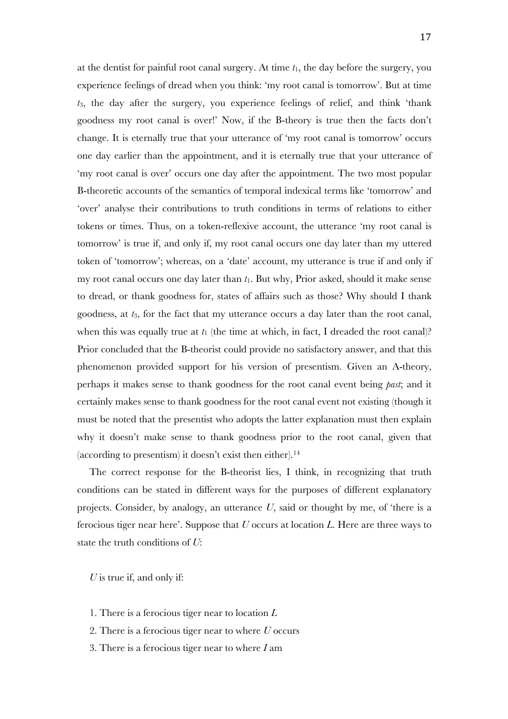at the dentist for painful root canal surgery. At time *t*1, the day before the surgery, you experience feelings of dread when you think: 'my root canal is tomorrow'. But at time *t*3, the day after the surgery, you experience feelings of relief, and think 'thank goodness my root canal is over!' Now, if the B-theory is true then the facts don't change. It is eternally true that your utterance of 'my root canal is tomorrow' occurs one day earlier than the appointment, and it is eternally true that your utterance of 'my root canal is over' occurs one day after the appointment. The two most popular B-theoretic accounts of the semantics of temporal indexical terms like 'tomorrow' and 'over' analyse their contributions to truth conditions in terms of relations to either tokens or times. Thus, on a token-reflexive account, the utterance 'my root canal is tomorrow' is true if, and only if, my root canal occurs one day later than my uttered token of 'tomorrow'; whereas, on a 'date' account, my utterance is true if and only if my root canal occurs one day later than *t*1. But why, Prior asked, should it make sense to dread, or thank goodness for, states of affairs such as those? Why should I thank goodness, at *t*3, for the fact that my utterance occurs a day later than the root canal, when this was equally true at  $t_1$  (the time at which, in fact, I dreaded the root canal)? Prior concluded that the B-theorist could provide no satisfactory answer, and that this phenomenon provided support for his version of presentism. Given an A-theory, perhaps it makes sense to thank goodness for the root canal event being *past*; and it certainly makes sense to thank goodness for the root canal event not existing (though it must be noted that the presentist who adopts the latter explanation must then explain why it doesn't make sense to thank goodness prior to the root canal, given that (according to presentism) it doesn't exist then either).14

The correct response for the B-theorist lies, I think, in recognizing that truth conditions can be stated in different ways for the purposes of different explanatory projects. Consider, by analogy, an utterance *U*, said or thought by me, of 'there is a ferocious tiger near here'. Suppose that *U* occurs at location *L*. Here are three ways to state the truth conditions of *U*:

*U* is true if, and only if:

- 1. There is a ferocious tiger near to location *L*
- 2. There is a ferocious tiger near to where *U* occurs
- 3. There is a ferocious tiger near to where *I* am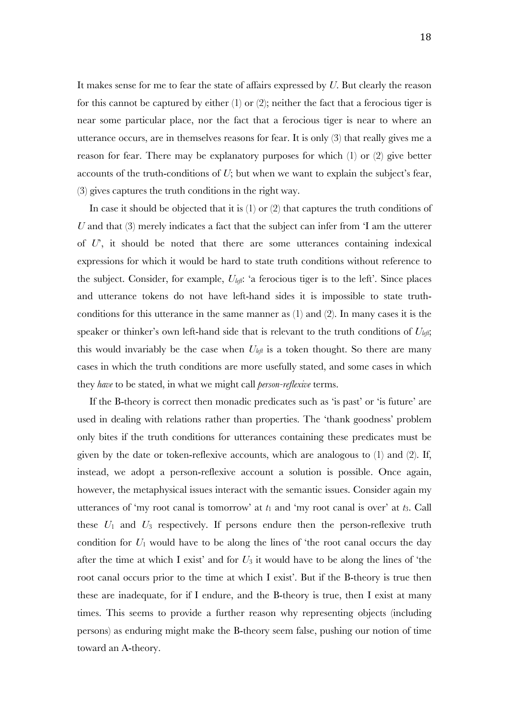It makes sense for me to fear the state of affairs expressed by *U*. But clearly the reason for this cannot be captured by either (1) or (2); neither the fact that a ferocious tiger is near some particular place, nor the fact that a ferocious tiger is near to where an utterance occurs, are in themselves reasons for fear. It is only (3) that really gives me a reason for fear. There may be explanatory purposes for which (1) or (2) give better accounts of the truth-conditions of *U*; but when we want to explain the subject's fear, (3) gives captures the truth conditions in the right way.

In case it should be objected that it is  $(1)$  or  $(2)$  that captures the truth conditions of *U* and that (3) merely indicates a fact that the subject can infer from 'I am the utterer of *U*', it should be noted that there are some utterances containing indexical expressions for which it would be hard to state truth conditions without reference to the subject. Consider, for example,  $U_{lef}$ : 'a ferocious tiger is to the left'. Since places and utterance tokens do not have left-hand sides it is impossible to state truthconditions for this utterance in the same manner as (1) and (2). In many cases it is the speaker or thinker's own left-hand side that is relevant to the truth conditions of  $U_{lef}$ ; this would invariably be the case when  $U_{left}$  is a token thought. So there are many cases in which the truth conditions are more usefully stated, and some cases in which they *have* to be stated, in what we might call *person-reflexive* terms.

If the B-theory is correct then monadic predicates such as 'is past' or 'is future' are used in dealing with relations rather than properties. The 'thank goodness' problem only bites if the truth conditions for utterances containing these predicates must be given by the date or token-reflexive accounts, which are analogous to (1) and (2). If, instead, we adopt a person-reflexive account a solution is possible. Once again, however, the metaphysical issues interact with the semantic issues. Consider again my utterances of 'my root canal is tomorrow' at *t*<sup>1</sup> and 'my root canal is over' at *t*3. Call these *U*<sup>1</sup> and *U*<sup>3</sup> respectively. If persons endure then the person-reflexive truth condition for *U*<sup>1</sup> would have to be along the lines of 'the root canal occurs the day after the time at which I exist' and for *U*<sup>3</sup> it would have to be along the lines of 'the root canal occurs prior to the time at which I exist'. But if the B-theory is true then these are inadequate, for if I endure, and the B-theory is true, then I exist at many times. This seems to provide a further reason why representing objects (including persons) as enduring might make the B-theory seem false, pushing our notion of time toward an A-theory.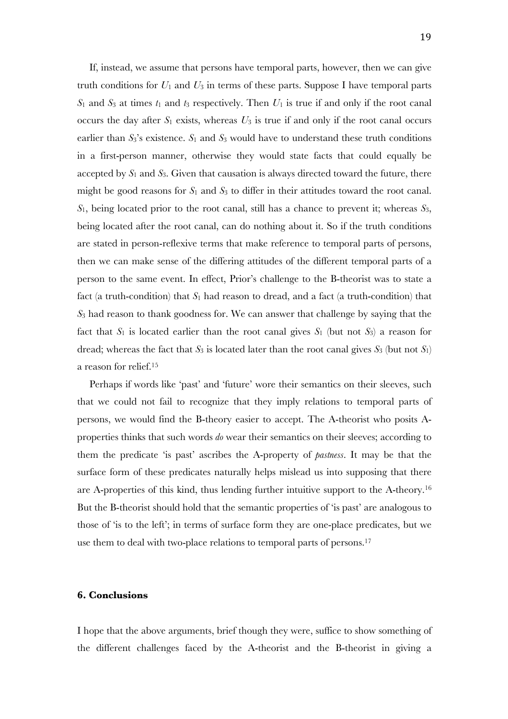If, instead, we assume that persons have temporal parts, however, then we can give truth conditions for  $U_1$  and  $U_3$  in terms of these parts. Suppose I have temporal parts *S*<sup>1</sup> and *S*<sup>3</sup> at times *t*<sup>1</sup> and *t*<sup>3</sup> respectively. Then *U*<sup>1</sup> is true if and only if the root canal occurs the day after  $S_1$  exists, whereas  $U_3$  is true if and only if the root canal occurs earlier than  $S_3$ 's existence.  $S_1$  and  $S_3$  would have to understand these truth conditions in a first-person manner, otherwise they would state facts that could equally be accepted by *S*<sup>1</sup> and *S*3. Given that causation is always directed toward the future, there might be good reasons for  $S_1$  and  $S_3$  to differ in their attitudes toward the root canal. *S*1, being located prior to the root canal, still has a chance to prevent it; whereas *S*3, being located after the root canal, can do nothing about it. So if the truth conditions are stated in person-reflexive terms that make reference to temporal parts of persons, then we can make sense of the differing attitudes of the different temporal parts of a person to the same event. In effect, Prior's challenge to the B-theorist was to state a fact (a truth-condition) that  $S_1$  had reason to dread, and a fact (a truth-condition) that *S*<sup>3</sup> had reason to thank goodness for. We can answer that challenge by saying that the fact that  $S_1$  is located earlier than the root canal gives  $S_1$  (but not  $S_3$ ) a reason for dread; whereas the fact that  $S_3$  is located later than the root canal gives  $S_3$  (but not  $S_1$ ) a reason for relief.15

Perhaps if words like 'past' and 'future' wore their semantics on their sleeves, such that we could not fail to recognize that they imply relations to temporal parts of persons, we would find the B-theory easier to accept. The A-theorist who posits Aproperties thinks that such words *do* wear their semantics on their sleeves; according to them the predicate 'is past' ascribes the A-property of *pastness*. It may be that the surface form of these predicates naturally helps mislead us into supposing that there are A-properties of this kind, thus lending further intuitive support to the A-theory.16 But the B-theorist should hold that the semantic properties of 'is past' are analogous to those of 'is to the left'; in terms of surface form they are one-place predicates, but we use them to deal with two-place relations to temporal parts of persons.<sup>17</sup>

#### **6. Conclusions**

I hope that the above arguments, brief though they were, suffice to show something of the different challenges faced by the A-theorist and the B-theorist in giving a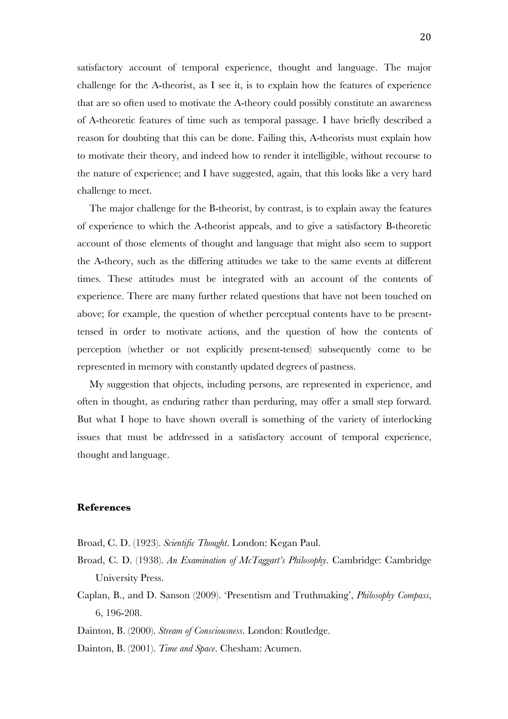satisfactory account of temporal experience, thought and language. The major challenge for the A-theorist, as I see it, is to explain how the features of experience that are so often used to motivate the A-theory could possibly constitute an awareness of A-theoretic features of time such as temporal passage. I have briefly described a reason for doubting that this can be done. Failing this, A-theorists must explain how to motivate their theory, and indeed how to render it intelligible, without recourse to the nature of experience; and I have suggested, again, that this looks like a very hard challenge to meet.

The major challenge for the B-theorist, by contrast, is to explain away the features of experience to which the A-theorist appeals, and to give a satisfactory B-theoretic account of those elements of thought and language that might also seem to support the A-theory, such as the differing attitudes we take to the same events at different times. These attitudes must be integrated with an account of the contents of experience. There are many further related questions that have not been touched on above; for example, the question of whether perceptual contents have to be presenttensed in order to motivate actions, and the question of how the contents of perception (whether or not explicitly present-tensed) subsequently come to be represented in memory with constantly updated degrees of pastness.

My suggestion that objects, including persons, are represented in experience, and often in thought, as enduring rather than perduring, may offer a small step forward. But what I hope to have shown overall is something of the variety of interlocking issues that must be addressed in a satisfactory account of temporal experience, thought and language.

#### **References**

Broad, C. D. (1923). *Scientific Thought*. London: Kegan Paul.

- Broad, C. D. (1938). *An Examination of McTaggart's Philosophy*. Cambridge: Cambridge University Press.
- Caplan, B., and D. Sanson (2009). 'Presentism and Truthmaking', *Philosophy Compass*, 6, 196-208.

Dainton, B. (2000). *Stream of Consciousness*. London: Routledge.

Dainton, B. (2001). *Time and Space*. Chesham: Acumen.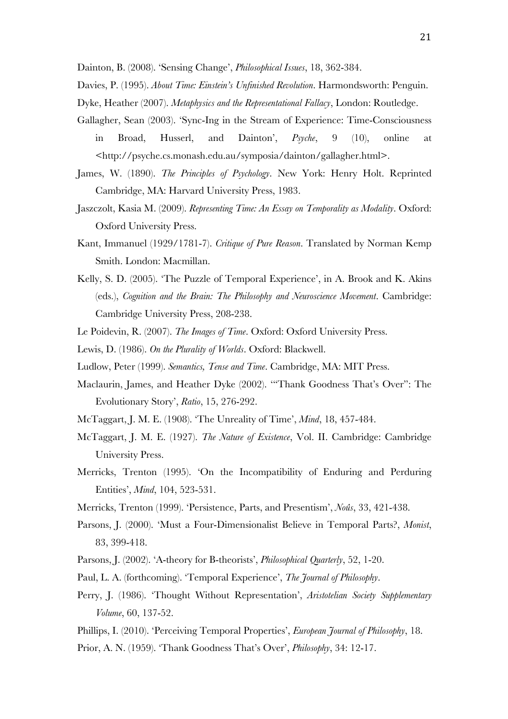Dainton, B. (2008). 'Sensing Change', *Philosophical Issues*, 18, 362-384.

- Davies, P. (1995). *About Time: Einstein's Unfinished Revolution*. Harmondsworth: Penguin.
- Dyke, Heather (2007). *Metaphysics and the Representational Fallacy*, London: Routledge.
- Gallagher, Sean (2003). 'Sync-Ing in the Stream of Experience: Time-Consciousness in Broad, Husserl, and Dainton', *Psyche*, 9 (10), online at <http://psyche.cs.monash.edu.au/symposia/dainton/gallagher.html>.
- James, W. (1890). *The Principles of Psychology*. New York: Henry Holt. Reprinted Cambridge, MA: Harvard University Press, 1983.
- Jaszczolt, Kasia M. (2009). *Representing Time: An Essay on Temporality as Modality*. Oxford: Oxford University Press.
- Kant, Immanuel (1929/1781-7). *Critique of Pure Reason*. Translated by Norman Kemp Smith. London: Macmillan.
- Kelly, S. D. (2005). 'The Puzzle of Temporal Experience', in A. Brook and K. Akins (eds.), *Cognition and the Brain: The Philosophy and Neuroscience Movement*. Cambridge: Cambridge University Press, 208-238.
- Le Poidevin, R. (2007). *The Images of Time*. Oxford: Oxford University Press.
- Lewis, D. (1986). *On the Plurality of Worlds*. Oxford: Blackwell.
- Ludlow, Peter (1999). *Semantics, Tense and Time*. Cambridge, MA: MIT Press.
- Maclaurin, James, and Heather Dyke (2002). '"Thank Goodness That's Over": The Evolutionary Story', *Ratio*, 15, 276-292.
- McTaggart, J. M. E. (1908). 'The Unreality of Time', *Mind*, 18, 457-484.
- McTaggart, J. M. E. (1927). *The Nature of Existence*, Vol. II. Cambridge: Cambridge University Press.
- Merricks, Trenton (1995). 'On the Incompatibility of Enduring and Perduring Entities', *Mind*, 104, 523-531.
- Merricks, Trenton (1999). 'Persistence, Parts, and Presentism', *Noûs*, 33, 421-438.
- Parsons, J. (2000). 'Must a Four-Dimensionalist Believe in Temporal Parts?, *Monist*, 83, 399-418.
- Parsons, J. (2002). 'A-theory for B-theorists', *Philosophical Quarterly*, 52, 1-20.
- Paul, L. A. (forthcoming). 'Temporal Experience', *The Journal of Philosophy*.
- Perry, J. (1986). 'Thought Without Representation', *Aristotelian Society Supplementary Volume*, 60, 137-52.
- Phillips, I. (2010). 'Perceiving Temporal Properties', *European Journal of Philosophy*, 18.

Prior, A. N. (1959). 'Thank Goodness That's Over', *Philosophy*, 34: 12-17.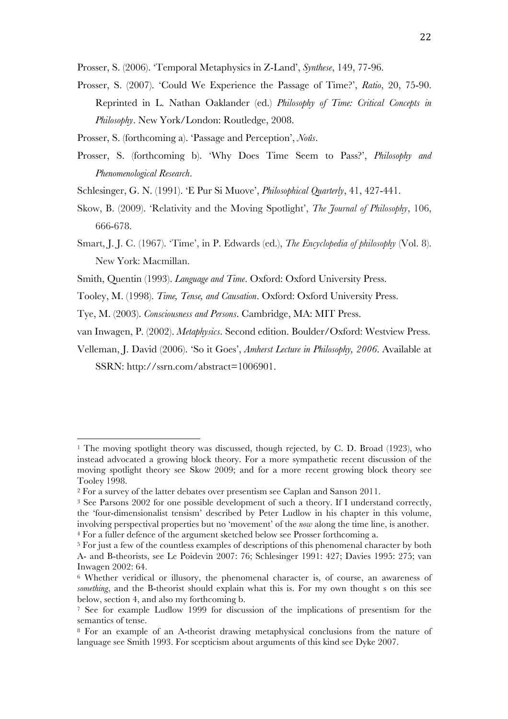Prosser, S. (2006). 'Temporal Metaphysics in Z-Land', *Synthese*, 149, 77-96.

- Prosser, S. (2007). 'Could We Experience the Passage of Time?', *Ratio*, 20, 75-90. Reprinted in L. Nathan Oaklander (ed.) *Philosophy of Time: Critical Concepts in Philosophy*. New York/London: Routledge, 2008.
- Prosser, S. (forthcoming a). 'Passage and Perception', *Noûs*.
- Prosser, S. (forthcoming b). 'Why Does Time Seem to Pass?', *Philosophy and Phenomenological Research*.
- Schlesinger, G. N. (1991). 'E Pur Si Muove', *Philosophical Quarterly*, 41, 427-441.
- Skow, B. (2009). 'Relativity and the Moving Spotlight', *The Journal of Philosophy*, 106, 666-678.
- Smart, J. J. C. (1967). 'Time', in P. Edwards (ed.), *The Encyclopedia of philosophy* (Vol. 8). New York: Macmillan.
- Smith, Quentin (1993). *Language and Time*. Oxford: Oxford University Press.
- Tooley, M. (1998). *Time, Tense, and Causation*. Oxford: Oxford University Press.
- Tye, M. (2003). *Consciousness and Persons*. Cambridge, MA: MIT Press.

van Inwagen, P. (2002). *Metaphysics*. Second edition. Boulder/Oxford: Westview Press.

Velleman, J. David (2006). 'So it Goes', *Amherst Lecture in Philosophy, 2006*. Available at

SSRN: http://ssrn.com/abstract=1006901.

 

<sup>1</sup> The moving spotlight theory was discussed, though rejected, by C. D. Broad (1923), who instead advocated a growing block theory. For a more sympathetic recent discussion of the moving spotlight theory see Skow 2009; and for a more recent growing block theory see Tooley 1998.

<sup>2</sup> For a survey of the latter debates over presentism see Caplan and Sanson 2011.

<sup>3</sup> See Parsons 2002 for one possible development of such a theory. If I understand correctly, the 'four-dimensionalist tensism' described by Peter Ludlow in his chapter in this volume, involving perspectival properties but no 'movement' of the *now* along the time line, is another. <sup>4</sup> For a fuller defence of the argument sketched below see Prosser forthcoming a.

<sup>&</sup>lt;sup>5</sup> For just a few of the countless examples of descriptions of this phenomenal character by both A- and B-theorists, see Le Poidevin 2007: 76; Schlesinger 1991: 427; Davies 1995: 275; van Inwagen 2002: 64.

<sup>6</sup> Whether veridical or illusory, the phenomenal character is, of course, an awareness of *something*, and the B-theorist should explain what this is. For my own thought s on this see below, section 4, and also my forthcoming b.

<sup>7</sup> See for example Ludlow 1999 for discussion of the implications of presentism for the semantics of tense.

<sup>8</sup> For an example of an A-theorist drawing metaphysical conclusions from the nature of language see Smith 1993. For scepticism about arguments of this kind see Dyke 2007.